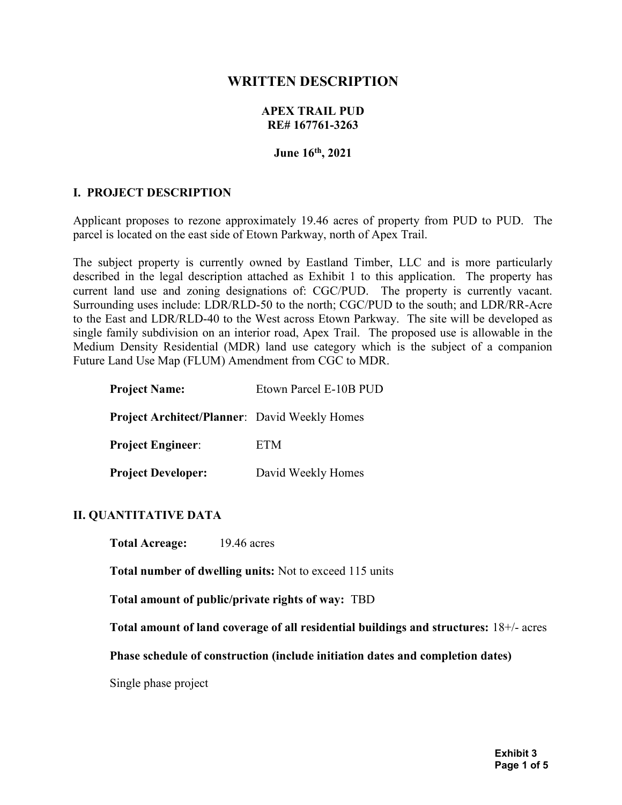# WRITTEN DESCRIPTION

#### APEX TRAIL PUD RE# 167761-3263

#### June 16th, 2021

#### I. PROJECT DESCRIPTION

Applicant proposes to rezone approximately 19.46 acres of property from PUD to PUD. The parcel is located on the east side of Etown Parkway, north of Apex Trail.

The subject property is currently owned by Eastland Timber, LLC and is more particularly described in the legal description attached as Exhibit 1 to this application. The property has current land use and zoning designations of: CGC/PUD. The property is currently vacant. Surrounding uses include: LDR/RLD-50 to the north; CGC/PUD to the south; and LDR/RR-Acre to the East and LDR/RLD-40 to the West across Etown Parkway. The site will be developed as single family subdivision on an interior road, Apex Trail. The proposed use is allowable in the Medium Density Residential (MDR) land use category which is the subject of a companion Future Land Use Map (FLUM) Amendment from CGC to MDR.

| Etown Parcel E-10B PUD                               |
|------------------------------------------------------|
| <b>Project Architect/Planner:</b> David Weekly Homes |
| ETM                                                  |
| David Weekly Homes                                   |
|                                                      |

#### II. QUANTITATIVE DATA

Total Acreage: 19.46 acres

Total number of dwelling units: Not to exceed 115 units

Total amount of public/private rights of way: TBD

Total amount of land coverage of all residential buildings and structures: 18+/- acres

Phase schedule of construction (include initiation dates and completion dates)

Single phase project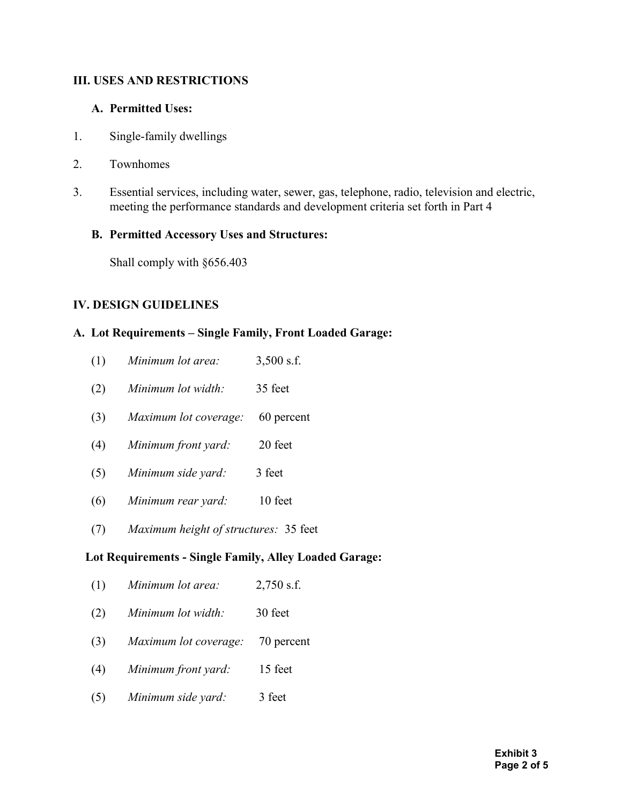## III. USES AND RESTRICTIONS

### A. Permitted Uses:

- 1. Single-family dwellings
- 2. Townhomes
- 3. Essential services, including water, sewer, gas, telephone, radio, television and electric, meeting the performance standards and development criteria set forth in Part 4

### B. Permitted Accessory Uses and Structures:

Shall comply with §656.403

## IV. DESIGN GUIDELINES

### A. Lot Requirements – Single Family, Front Loaded Garage:

| (1)                                                    | Minimum lot area:                     | $3,500$ s.f. |
|--------------------------------------------------------|---------------------------------------|--------------|
| (2)                                                    | Minimum lot width:                    | 35 feet      |
| (3)                                                    | Maximum lot coverage:                 | 60 percent   |
| (4)                                                    | Minimum front yard:                   | 20 feet      |
| (5)                                                    | Minimum side yard:                    | 3 feet       |
| (6)                                                    | Minimum rear yard:                    | 10 feet      |
| (7)                                                    | Maximum height of structures: 35 feet |              |
| Lot Requirements - Single Family, Alley Loaded Garage: |                                       |              |

- (1) Minimum lot area:  $2,750$  s.f.
- (2) Minimum lot width: 30 feet
- (3) Maximum lot coverage: 70 percent
- (4) Minimum front yard: 15 feet
- (5) Minimum side yard: 3 feet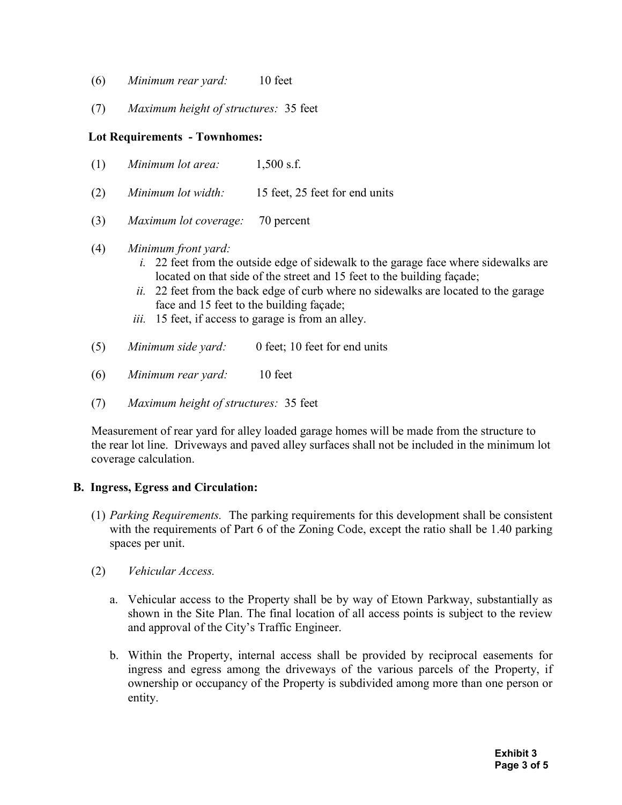- (6) Minimum rear yard: 10 feet
- (7) Maximum height of structures: 35 feet

## Lot Requirements - Townhomes:

- (1) Minimum lot area:  $1,500$  s.f.
- (2) Minimum lot width: 15 feet, 25 feet for end units
- (3) Maximum lot coverage: 70 percent
- (4) Minimum front yard:
	- i. 22 feet from the outside edge of sidewalk to the garage face where sidewalks are located on that side of the street and 15 feet to the building façade;
	- $ii.$  22 feet from the back edge of curb where no sidewalks are located to the garage face and 15 feet to the building façade;
	- iii. 15 feet, if access to garage is from an alley.
- (5) Minimum side yard: 0 feet; 10 feet for end units
- (6) Minimum rear yard: 10 feet
- (7) Maximum height of structures: 35 feet

Measurement of rear yard for alley loaded garage homes will be made from the structure to the rear lot line. Driveways and paved alley surfaces shall not be included in the minimum lot coverage calculation.

#### B. Ingress, Egress and Circulation:

- (1) Parking Requirements. The parking requirements for this development shall be consistent with the requirements of Part 6 of the Zoning Code, except the ratio shall be 1.40 parking spaces per unit.
- (2) Vehicular Access.
	- a. Vehicular access to the Property shall be by way of Etown Parkway, substantially as shown in the Site Plan. The final location of all access points is subject to the review and approval of the City's Traffic Engineer.
	- b. Within the Property, internal access shall be provided by reciprocal easements for ingress and egress among the driveways of the various parcels of the Property, if ownership or occupancy of the Property is subdivided among more than one person or entity.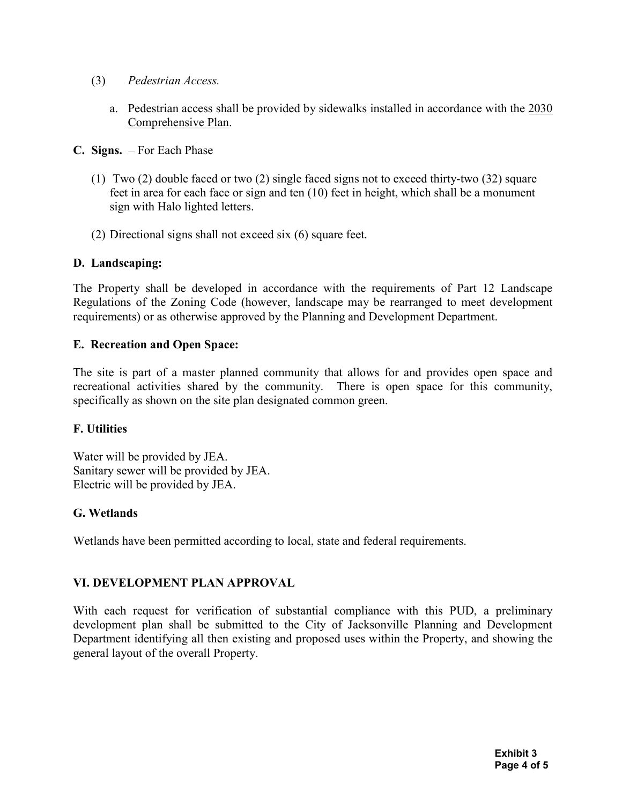- (3) Pedestrian Access.
	- a. Pedestrian access shall be provided by sidewalks installed in accordance with the 2030 Comprehensive Plan.
- C. Signs. For Each Phase
	- (1) Two (2) double faced or two (2) single faced signs not to exceed thirty-two (32) square feet in area for each face or sign and ten (10) feet in height, which shall be a monument sign with Halo lighted letters.
	- (2) Directional signs shall not exceed six (6) square feet.

### D. Landscaping:

The Property shall be developed in accordance with the requirements of Part 12 Landscape Regulations of the Zoning Code (however, landscape may be rearranged to meet development requirements) or as otherwise approved by the Planning and Development Department.

### E. Recreation and Open Space:

The site is part of a master planned community that allows for and provides open space and recreational activities shared by the community. There is open space for this community, specifically as shown on the site plan designated common green.

## F. Utilities

Water will be provided by JEA. Sanitary sewer will be provided by JEA. Electric will be provided by JEA.

## G. Wetlands

Wetlands have been permitted according to local, state and federal requirements.

## VI. DEVELOPMENT PLAN APPROVAL

With each request for verification of substantial compliance with this PUD, a preliminary development plan shall be submitted to the City of Jacksonville Planning and Development Department identifying all then existing and proposed uses within the Property, and showing the general layout of the overall Property.